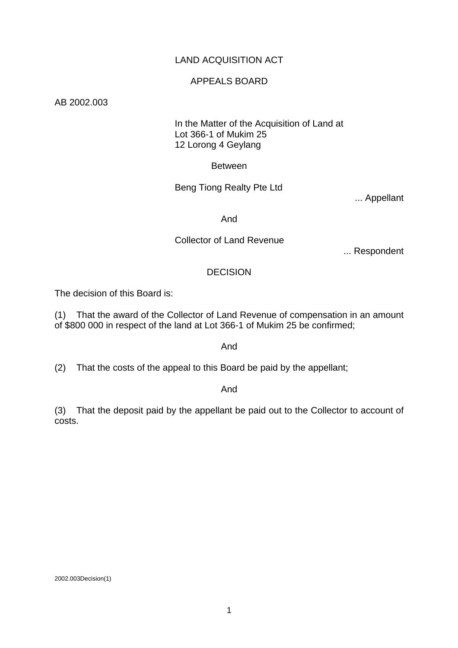# LAND ACQUISITION ACT

#### APPEALS BOARD

#### AB 2002.003

# In the Matter of the Acquisition of Land at Lot 366-1 of Mukim 25 12 Lorong 4 Geylang

Between

Beng Tiong Realty Pte Ltd

... Appellant

And

## Collector of Land Revenue

... Respondent

#### DECISION

The decision of this Board is:

(1) That the award of the Collector of Land Revenue of compensation in an amount of \$800 000 in respect of the land at Lot 366-1 of Mukim 25 be confirmed;

#### And

(2) That the costs of the appeal to this Board be paid by the appellant;

#### And

(3) That the deposit paid by the appellant be paid out to the Collector to account of costs.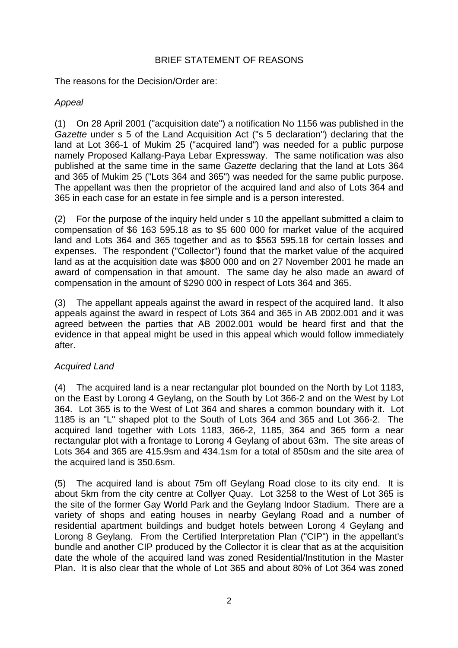# BRIEF STATEMENT OF REASONS

The reasons for the Decision/Order are:

# *Appeal*

(1) On 28 April 2001 ("acquisition date") a notification No 1156 was published in the *Gazette* under s 5 of the Land Acquisition Act ("s 5 declaration") declaring that the land at Lot 366-1 of Mukim 25 ("acquired land") was needed for a public purpose namely Proposed Kallang-Paya Lebar Expressway. The same notification was also published at the same time in the same *Gazette* declaring that the land at Lots 364 and 365 of Mukim 25 ("Lots 364 and 365") was needed for the same public purpose. The appellant was then the proprietor of the acquired land and also of Lots 364 and 365 in each case for an estate in fee simple and is a person interested.

(2) For the purpose of the inquiry held under s 10 the appellant submitted a claim to compensation of \$6 163 595.18 as to \$5 600 000 for market value of the acquired land and Lots 364 and 365 together and as to \$563 595.18 for certain losses and expenses. The respondent ("Collector") found that the market value of the acquired land as at the acquisition date was \$800 000 and on 27 November 2001 he made an award of compensation in that amount. The same day he also made an award of compensation in the amount of \$290 000 in respect of Lots 364 and 365.

(3) The appellant appeals against the award in respect of the acquired land. It also appeals against the award in respect of Lots 364 and 365 in AB 2002.001 and it was agreed between the parties that AB 2002.001 would be heard first and that the evidence in that appeal might be used in this appeal which would follow immediately after.

# *Acquired Land*

(4) The acquired land is a near rectangular plot bounded on the North by Lot 1183, on the East by Lorong 4 Geylang, on the South by Lot 366-2 and on the West by Lot 364. Lot 365 is to the West of Lot 364 and shares a common boundary with it. Lot 1185 is an "L" shaped plot to the South of Lots 364 and 365 and Lot 366-2. The acquired land together with Lots 1183, 366-2, 1185, 364 and 365 form a near rectangular plot with a frontage to Lorong 4 Geylang of about 63m. The site areas of Lots 364 and 365 are 415.9sm and 434.1sm for a total of 850sm and the site area of the acquired land is 350.6sm.

(5) The acquired land is about 75m off Geylang Road close to its city end. It is about 5km from the city centre at Collyer Quay. Lot 3258 to the West of Lot 365 is the site of the former Gay World Park and the Geylang Indoor Stadium. There are a variety of shops and eating houses in nearby Geylang Road and a number of residential apartment buildings and budget hotels between Lorong 4 Geylang and Lorong 8 Geylang. From the Certified Interpretation Plan ("CIP") in the appellant's bundle and another CIP produced by the Collector it is clear that as at the acquisition date the whole of the acquired land was zoned Residential/Institution in the Master Plan. It is also clear that the whole of Lot 365 and about 80% of Lot 364 was zoned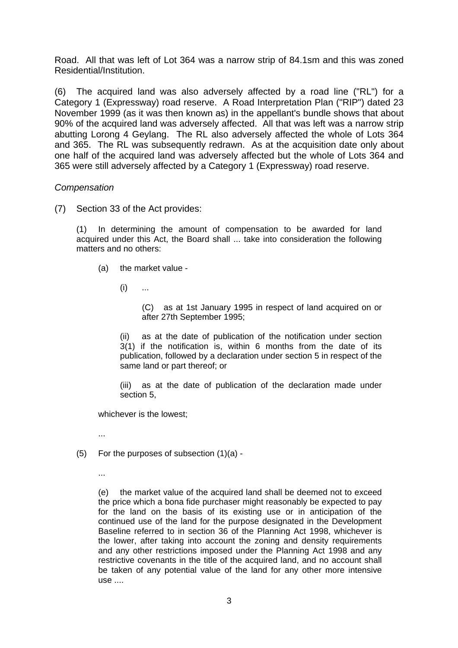Road. All that was left of Lot 364 was a narrow strip of 84.1sm and this was zoned Residential/Institution.

(6) The acquired land was also adversely affected by a road line ("RL") for a Category 1 (Expressway) road reserve. A Road Interpretation Plan ("RIP") dated 23 November 1999 (as it was then known as) in the appellant's bundle shows that about 90% of the acquired land was adversely affected. All that was left was a narrow strip abutting Lorong 4 Geylang. The RL also adversely affected the whole of Lots 364 and 365. The RL was subsequently redrawn. As at the acquisition date only about one half of the acquired land was adversely affected but the whole of Lots 364 and 365 were still adversely affected by a Category 1 (Expressway) road reserve.

#### *Compensation*

(7) Section 33 of the Act provides:

(1) In determining the amount of compensation to be awarded for land acquired under this Act, the Board shall ... take into consideration the following matters and no others:

- (a) the market value
	- $(i)$  ...

(C) as at 1st January 1995 in respect of land acquired on or after 27th September 1995;

(ii) as at the date of publication of the notification under section 3(1) if the notification is, within 6 months from the date of its publication, followed by a declaration under section 5 in respect of the same land or part thereof; or

(iii) as at the date of publication of the declaration made under section 5,

whichever is the lowest;

...

- $(5)$  For the purposes of subsection  $(1)(a)$  -
	- ...

(e) the market value of the acquired land shall be deemed not to exceed the price which a bona fide purchaser might reasonably be expected to pay for the land on the basis of its existing use or in anticipation of the continued use of the land for the purpose designated in the Development Baseline referred to in section 36 of the Planning Act 1998, whichever is the lower, after taking into account the zoning and density requirements and any other restrictions imposed under the Planning Act 1998 and any restrictive covenants in the title of the acquired land, and no account shall be taken of any potential value of the land for any other more intensive use ....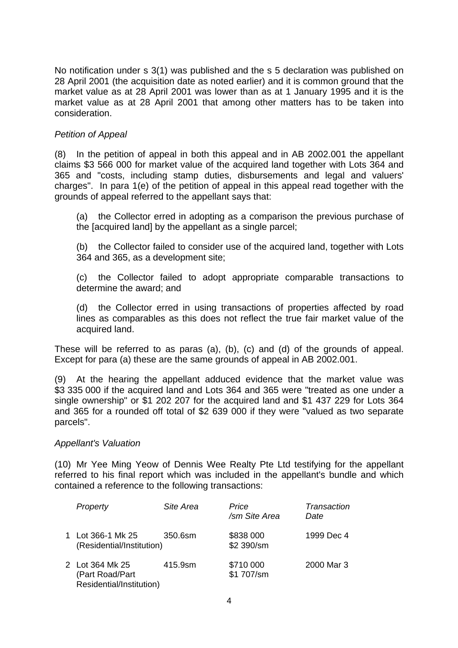No notification under s 3(1) was published and the s 5 declaration was published on 28 April 2001 (the acquisition date as noted earlier) and it is common ground that the market value as at 28 April 2001 was lower than as at 1 January 1995 and it is the market value as at 28 April 2001 that among other matters has to be taken into consideration.

# *Petition of Appeal*

(8) In the petition of appeal in both this appeal and in AB 2002.001 the appellant claims \$3 566 000 for market value of the acquired land together with Lots 364 and 365 and "costs, including stamp duties, disbursements and legal and valuers' charges". In para 1(e) of the petition of appeal in this appeal read together with the grounds of appeal referred to the appellant says that:

 (a) the Collector erred in adopting as a comparison the previous purchase of the [acquired land] by the appellant as a single parcel;

 (b) the Collector failed to consider use of the acquired land, together with Lots 364 and 365, as a development site;

 (c) the Collector failed to adopt appropriate comparable transactions to determine the award; and

 (d) the Collector erred in using transactions of properties affected by road lines as comparables as this does not reflect the true fair market value of the acquired land.

These will be referred to as paras (a), (b), (c) and (d) of the grounds of appeal. Except for para (a) these are the same grounds of appeal in AB 2002.001.

(9) At the hearing the appellant adduced evidence that the market value was \$3 335 000 if the acquired land and Lots 364 and 365 were "treated as one under a single ownership" or \$1 202 207 for the acquired land and \$1 437 229 for Lots 364 and 365 for a rounded off total of \$2 639 000 if they were "valued as two separate parcels".

#### *Appellant's Valuation*

(10) Mr Yee Ming Yeow of Dennis Wee Realty Pte Ltd testifying for the appellant referred to his final report which was included in the appellant's bundle and which contained a reference to the following transactions:

| Property                                                       | Site Area | Price<br>/sm Site Area  | Transaction<br>Date |
|----------------------------------------------------------------|-----------|-------------------------|---------------------|
| 1 Lot 366-1 Mk 25<br>(Residential/Institution)                 | 350.6sm   | \$838 000<br>\$2 390/sm | 1999 Dec 4          |
| 2 Lot 364 Mk 25<br>(Part Road/Part<br>Residential/Institution) | 415.9sm   | \$710 000<br>\$1 707/sm | 2000 Mar 3          |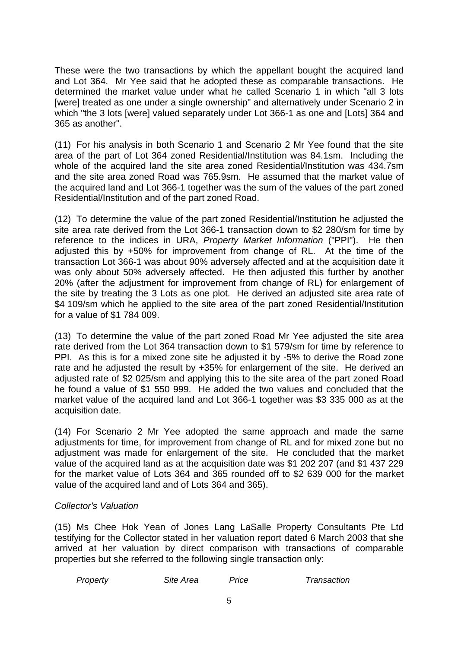These were the two transactions by which the appellant bought the acquired land and Lot 364. Mr Yee said that he adopted these as comparable transactions. He determined the market value under what he called Scenario 1 in which "all 3 lots [were] treated as one under a single ownership" and alternatively under Scenario 2 in which "the 3 lots [were] valued separately under Lot 366-1 as one and [Lots] 364 and 365 as another".

(11) For his analysis in both Scenario 1 and Scenario 2 Mr Yee found that the site area of the part of Lot 364 zoned Residential/Institution was 84.1sm. Including the whole of the acquired land the site area zoned Residential/Institution was 434.7sm and the site area zoned Road was 765.9sm. He assumed that the market value of the acquired land and Lot 366-1 together was the sum of the values of the part zoned Residential/Institution and of the part zoned Road.

(12) To determine the value of the part zoned Residential/Institution he adjusted the site area rate derived from the Lot 366-1 transaction down to \$2 280/sm for time by reference to the indices in URA, *Property Market Information* ("PPI"). He then adjusted this by +50% for improvement from change of RL. At the time of the transaction Lot 366-1 was about 90% adversely affected and at the acquisition date it was only about 50% adversely affected. He then adjusted this further by another 20% (after the adjustment for improvement from change of RL) for enlargement of the site by treating the 3 Lots as one plot. He derived an adjusted site area rate of \$4 109/sm which he applied to the site area of the part zoned Residential/Institution for a value of \$1 784 009.

(13) To determine the value of the part zoned Road Mr Yee adjusted the site area rate derived from the Lot 364 transaction down to \$1 579/sm for time by reference to PPI. As this is for a mixed zone site he adjusted it by -5% to derive the Road zone rate and he adjusted the result by +35% for enlargement of the site. He derived an adjusted rate of \$2 025/sm and applying this to the site area of the part zoned Road he found a value of \$1 550 999. He added the two values and concluded that the market value of the acquired land and Lot 366-1 together was \$3 335 000 as at the acquisition date.

(14) For Scenario 2 Mr Yee adopted the same approach and made the same adjustments for time, for improvement from change of RL and for mixed zone but no adjustment was made for enlargement of the site. He concluded that the market value of the acquired land as at the acquisition date was \$1 202 207 (and \$1 437 229 for the market value of Lots 364 and 365 rounded off to \$2 639 000 for the market value of the acquired land and of Lots 364 and 365).

## *Collector's Valuation*

(15) Ms Chee Hok Yean of Jones Lang LaSalle Property Consultants Pte Ltd testifying for the Collector stated in her valuation report dated 6 March 2003 that she arrived at her valuation by direct comparison with transactions of comparable properties but she referred to the following single transaction only:

| Property | Site Area | Price | Transaction |
|----------|-----------|-------|-------------|
|----------|-----------|-------|-------------|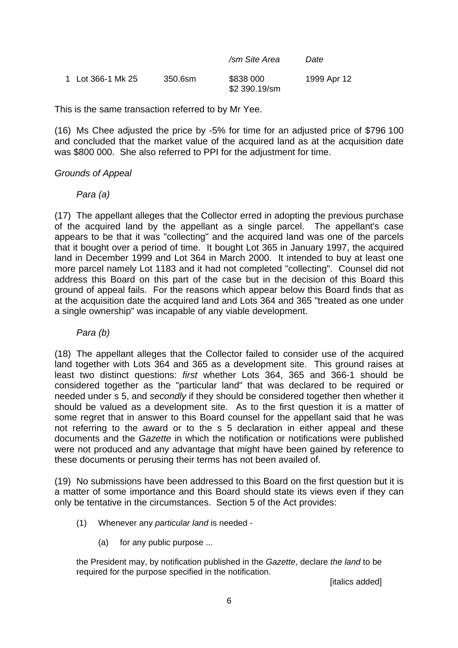|                   |         | /sm Site Area              | Date        |
|-------------------|---------|----------------------------|-------------|
| 1 Lot 366-1 Mk 25 | 350.6sm | \$838 000<br>\$2 390.19/sm | 1999 Apr 12 |

This is the same transaction referred to by Mr Yee.

(16) Ms Chee adjusted the price by -5% for time for an adjusted price of \$796 100 and concluded that the market value of the acquired land as at the acquisition date was \$800 000. She also referred to PPI for the adjustment for time.

## *Grounds of Appeal*

## *Para (a)*

(17) The appellant alleges that the Collector erred in adopting the previous purchase of the acquired land by the appellant as a single parcel. The appellant's case appears to be that it was "collecting" and the acquired land was one of the parcels that it bought over a period of time. It bought Lot 365 in January 1997, the acquired land in December 1999 and Lot 364 in March 2000. It intended to buy at least one more parcel namely Lot 1183 and it had not completed "collecting". Counsel did not address this Board on this part of the case but in the decision of this Board this ground of appeal fails. For the reasons which appear below this Board finds that as at the acquisition date the acquired land and Lots 364 and 365 "treated as one under a single ownership" was incapable of any viable development.

## *Para (b)*

(18) The appellant alleges that the Collector failed to consider use of the acquired land together with Lots 364 and 365 as a development site. This ground raises at least two distinct questions: *first* whether Lots 364, 365 and 366-1 should be considered together as the "particular land" that was declared to be required or needed under s 5, and *secondly* if they should be considered together then whether it should be valued as a development site. As to the first question it is a matter of some regret that in answer to this Board counsel for the appellant said that he was not referring to the award or to the s 5 declaration in either appeal and these documents and the *Gazette* in which the notification or notifications were published were not produced and any advantage that might have been gained by reference to these documents or perusing their terms has not been availed of.

(19) No submissions have been addressed to this Board on the first question but it is a matter of some importance and this Board should state its views even if they can only be tentative in the circumstances. Section 5 of the Act provides:

- (1) Whenever any *particular land* is needed
	- (a) for any public purpose ...

the President may, by notification published in the *Gazette*, declare *the land* to be required for the purpose specified in the notification.

[italics added]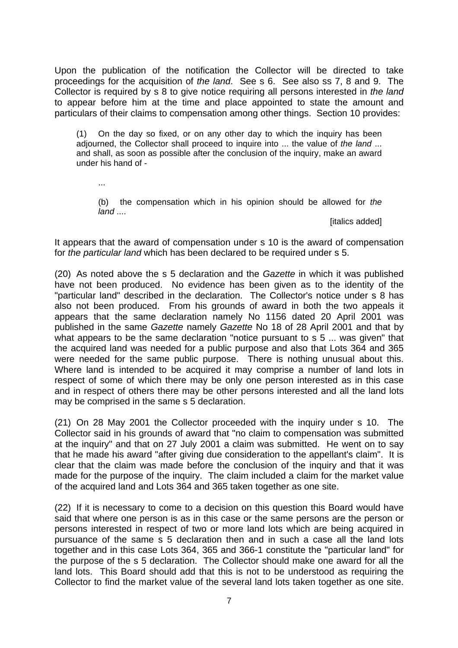Upon the publication of the notification the Collector will be directed to take proceedings for the acquisition of *the land*. See s 6. See also ss 7, 8 and 9. The Collector is required by s 8 to give notice requiring all persons interested in *the land* to appear before him at the time and place appointed to state the amount and particulars of their claims to compensation among other things. Section 10 provides:

(1) On the day so fixed, or on any other day to which the inquiry has been adjourned, the Collector shall proceed to inquire into ... the value of *the land* ... and shall, as soon as possible after the conclusion of the inquiry, make an award under his hand of -

...

 (b) the compensation which in his opinion should be allowed for *the land* ....

[italics added]

It appears that the award of compensation under s 10 is the award of compensation for *the particular land* which has been declared to be required under s 5.

(20) As noted above the s 5 declaration and the *Gazette* in which it was published have not been produced. No evidence has been given as to the identity of the "particular land" described in the declaration. The Collector's notice under s 8 has also not been produced. From his grounds of award in both the two appeals it appears that the same declaration namely No 1156 dated 20 April 2001 was published in the same *Gazette* namely *Gazette* No 18 of 28 April 2001 and that by what appears to be the same declaration "notice pursuant to s 5 ... was given" that the acquired land was needed for a public purpose and also that Lots 364 and 365 were needed for the same public purpose. There is nothing unusual about this. Where land is intended to be acquired it may comprise a number of land lots in respect of some of which there may be only one person interested as in this case and in respect of others there may be other persons interested and all the land lots may be comprised in the same s 5 declaration.

(21) On 28 May 2001 the Collector proceeded with the inquiry under s 10. The Collector said in his grounds of award that "no claim to compensation was submitted at the inquiry" and that on 27 July 2001 a claim was submitted. He went on to say that he made his award "after giving due consideration to the appellant's claim". It is clear that the claim was made before the conclusion of the inquiry and that it was made for the purpose of the inquiry. The claim included a claim for the market value of the acquired land and Lots 364 and 365 taken together as one site.

(22) If it is necessary to come to a decision on this question this Board would have said that where one person is as in this case or the same persons are the person or persons interested in respect of two or more land lots which are being acquired in pursuance of the same s 5 declaration then and in such a case all the land lots together and in this case Lots 364, 365 and 366-1 constitute the "particular land" for the purpose of the s 5 declaration. The Collector should make one award for all the land lots. This Board should add that this is not to be understood as requiring the Collector to find the market value of the several land lots taken together as one site.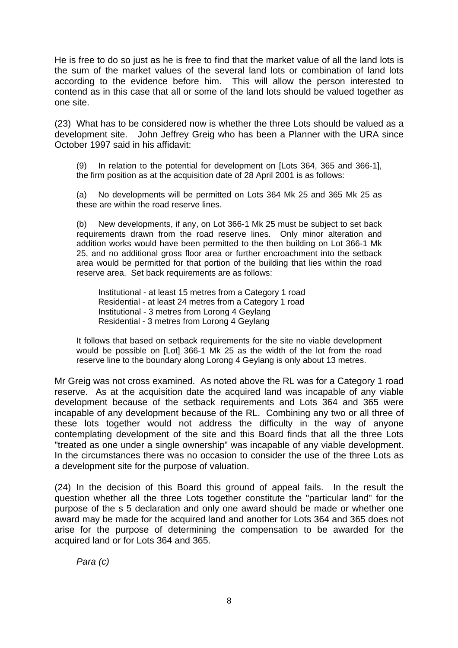He is free to do so just as he is free to find that the market value of all the land lots is the sum of the market values of the several land lots or combination of land lots according to the evidence before him. This will allow the person interested to contend as in this case that all or some of the land lots should be valued together as one site.

(23) What has to be considered now is whether the three Lots should be valued as a development site. John Jeffrey Greig who has been a Planner with the URA since October 1997 said in his affidavit:

(9) In relation to the potential for development on [Lots 364, 365 and 366-1], the firm position as at the acquisition date of 28 April 2001 is as follows:

(a) No developments will be permitted on Lots 364 Mk 25 and 365 Mk 25 as these are within the road reserve lines.

(b) New developments, if any, on Lot 366-1 Mk 25 must be subject to set back requirements drawn from the road reserve lines. Only minor alteration and addition works would have been permitted to the then building on Lot 366-1 Mk 25, and no additional gross floor area or further encroachment into the setback area would be permitted for that portion of the building that lies within the road reserve area. Set back requirements are as follows:

 Institutional - at least 15 metres from a Category 1 road Residential - at least 24 metres from a Category 1 road Institutional - 3 metres from Lorong 4 Geylang Residential - 3 metres from Lorong 4 Geylang

It follows that based on setback requirements for the site no viable development would be possible on [Lot] 366-1 Mk 25 as the width of the lot from the road reserve line to the boundary along Lorong 4 Geylang is only about 13 metres.

Mr Greig was not cross examined. As noted above the RL was for a Category 1 road reserve. As at the acquisition date the acquired land was incapable of any viable development because of the setback requirements and Lots 364 and 365 were incapable of any development because of the RL. Combining any two or all three of these lots together would not address the difficulty in the way of anyone contemplating development of the site and this Board finds that all the three Lots "treated as one under a single ownership" was incapable of any viable development. In the circumstances there was no occasion to consider the use of the three Lots as a development site for the purpose of valuation.

(24) In the decision of this Board this ground of appeal fails. In the result the question whether all the three Lots together constitute the "particular land" for the purpose of the s 5 declaration and only one award should be made or whether one award may be made for the acquired land and another for Lots 364 and 365 does not arise for the purpose of determining the compensation to be awarded for the acquired land or for Lots 364 and 365.

*Para (c)*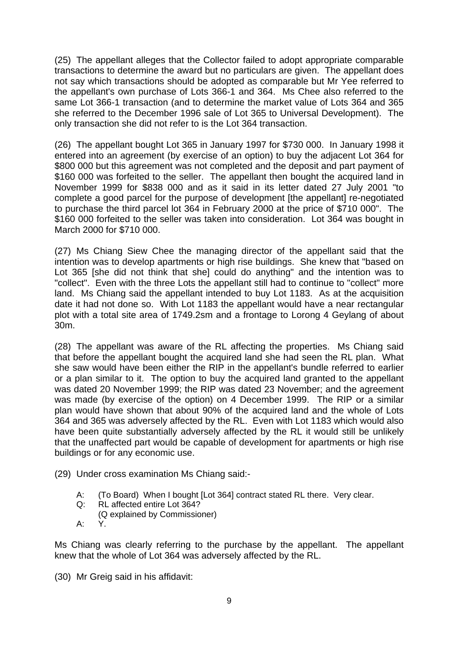(25) The appellant alleges that the Collector failed to adopt appropriate comparable transactions to determine the award but no particulars are given. The appellant does not say which transactions should be adopted as comparable but Mr Yee referred to the appellant's own purchase of Lots 366-1 and 364. Ms Chee also referred to the same Lot 366-1 transaction (and to determine the market value of Lots 364 and 365 she referred to the December 1996 sale of Lot 365 to Universal Development). The only transaction she did not refer to is the Lot 364 transaction.

(26) The appellant bought Lot 365 in January 1997 for \$730 000. In January 1998 it entered into an agreement (by exercise of an option) to buy the adjacent Lot 364 for \$800,000 but this agreement was not completed and the deposit and part payment of \$160 000 was forfeited to the seller. The appellant then bought the acquired land in November 1999 for \$838 000 and as it said in its letter dated 27 July 2001 "to complete a good parcel for the purpose of development [the appellant] re-negotiated to purchase the third parcel lot 364 in February 2000 at the price of \$710 000". The \$160 000 forfeited to the seller was taken into consideration. Lot 364 was bought in March 2000 for \$710 000.

(27) Ms Chiang Siew Chee the managing director of the appellant said that the intention was to develop apartments or high rise buildings. She knew that "based on Lot 365 [she did not think that she] could do anything" and the intention was to "collect". Even with the three Lots the appellant still had to continue to "collect" more land. Ms Chiang said the appellant intended to buy Lot 1183. As at the acquisition date it had not done so. With Lot 1183 the appellant would have a near rectangular plot with a total site area of 1749.2sm and a frontage to Lorong 4 Geylang of about 30m.

(28) The appellant was aware of the RL affecting the properties. Ms Chiang said that before the appellant bought the acquired land she had seen the RL plan. What she saw would have been either the RIP in the appellant's bundle referred to earlier or a plan similar to it. The option to buy the acquired land granted to the appellant was dated 20 November 1999; the RIP was dated 23 November; and the agreement was made (by exercise of the option) on 4 December 1999. The RIP or a similar plan would have shown that about 90% of the acquired land and the whole of Lots 364 and 365 was adversely affected by the RL. Even with Lot 1183 which would also have been quite substantially adversely affected by the RL it would still be unlikely that the unaffected part would be capable of development for apartments or high rise buildings or for any economic use.

- (29) Under cross examination Ms Chiang said:-
	- A: (To Board) When I bought [Lot 364] contract stated RL there. Very clear.
	- Q: RL affected entire Lot 364?
	- (Q explained by Commissioner)
	- A: Y.

Ms Chiang was clearly referring to the purchase by the appellant. The appellant knew that the whole of Lot 364 was adversely affected by the RL.

(30) Mr Greig said in his affidavit: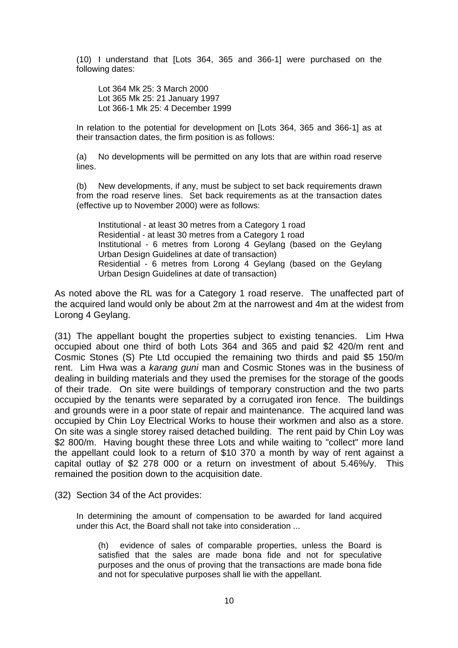(10) I understand that [Lots 364, 365 and 366-1] were purchased on the following dates:

 Lot 364 Mk 25: 3 March 2000 Lot 365 Mk 25: 21 January 1997 Lot 366-1 Mk 25: 4 December 1999

In relation to the potential for development on [Lots 364, 365 and 366-1] as at their transaction dates, the firm position is as follows:

(a) No developments will be permitted on any lots that are within road reserve lines.

(b) New developments, if any, must be subject to set back requirements drawn from the road reserve lines. Set back requirements as at the transaction dates (effective up to November 2000) were as follows:

 Institutional - at least 30 metres from a Category 1 road Residential - at least 30 metres from a Category 1 road Institutional - 6 metres from Lorong 4 Geylang (based on the Geylang Urban Design Guidelines at date of transaction) Residential - 6 metres from Lorong 4 Geylang (based on the Geylang Urban Design Guidelines at date of transaction)

As noted above the RL was for a Category 1 road reserve. The unaffected part of the acquired land would only be about 2m at the narrowest and 4m at the widest from Lorong 4 Geylang.

(31) The appellant bought the properties subject to existing tenancies. Lim Hwa occupied about one third of both Lots 364 and 365 and paid \$2 420/m rent and Cosmic Stones (S) Pte Ltd occupied the remaining two thirds and paid \$5 150/m rent. Lim Hwa was a *karang guni* man and Cosmic Stones was in the business of dealing in building materials and they used the premises for the storage of the goods of their trade. On site were buildings of temporary construction and the two parts occupied by the tenants were separated by a corrugated iron fence. The buildings and grounds were in a poor state of repair and maintenance. The acquired land was occupied by Chin Loy Electrical Works to house their workmen and also as a store. On site was a single storey raised detached building. The rent paid by Chin Loy was \$2 800/m. Having bought these three Lots and while waiting to "collect" more land the appellant could look to a return of \$10 370 a month by way of rent against a capital outlay of \$2 278 000 or a return on investment of about 5.46%/y. This remained the position down to the acquisition date.

(32) Section 34 of the Act provides:

In determining the amount of compensation to be awarded for land acquired under this Act, the Board shall not take into consideration ...

 (h) evidence of sales of comparable properties, unless the Board is satisfied that the sales are made bona fide and not for speculative purposes and the onus of proving that the transactions are made bona fide and not for speculative purposes shall lie with the appellant.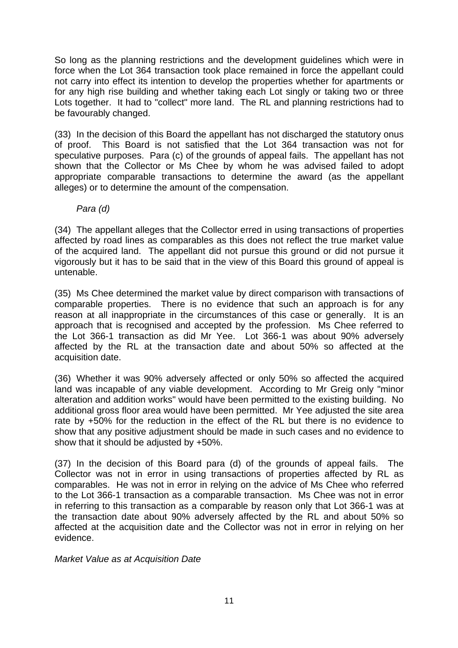So long as the planning restrictions and the development guidelines which were in force when the Lot 364 transaction took place remained in force the appellant could not carry into effect its intention to develop the properties whether for apartments or for any high rise building and whether taking each Lot singly or taking two or three Lots together. It had to "collect" more land. The RL and planning restrictions had to be favourably changed.

(33) In the decision of this Board the appellant has not discharged the statutory onus of proof. This Board is not satisfied that the Lot 364 transaction was not for speculative purposes. Para (c) of the grounds of appeal fails. The appellant has not shown that the Collector or Ms Chee by whom he was advised failed to adopt appropriate comparable transactions to determine the award (as the appellant alleges) or to determine the amount of the compensation.

# *Para (d)*

(34) The appellant alleges that the Collector erred in using transactions of properties affected by road lines as comparables as this does not reflect the true market value of the acquired land. The appellant did not pursue this ground or did not pursue it vigorously but it has to be said that in the view of this Board this ground of appeal is untenable.

(35) Ms Chee determined the market value by direct comparison with transactions of comparable properties. There is no evidence that such an approach is for any reason at all inappropriate in the circumstances of this case or generally. It is an approach that is recognised and accepted by the profession. Ms Chee referred to the Lot 366-1 transaction as did Mr Yee. Lot 366-1 was about 90% adversely affected by the RL at the transaction date and about 50% so affected at the acquisition date.

(36) Whether it was 90% adversely affected or only 50% so affected the acquired land was incapable of any viable development. According to Mr Greig only "minor alteration and addition works" would have been permitted to the existing building. No additional gross floor area would have been permitted. Mr Yee adjusted the site area rate by +50% for the reduction in the effect of the RL but there is no evidence to show that any positive adjustment should be made in such cases and no evidence to show that it should be adjusted by +50%.

(37) In the decision of this Board para (d) of the grounds of appeal fails. The Collector was not in error in using transactions of properties affected by RL as comparables. He was not in error in relying on the advice of Ms Chee who referred to the Lot 366-1 transaction as a comparable transaction. Ms Chee was not in error in referring to this transaction as a comparable by reason only that Lot 366-1 was at the transaction date about 90% adversely affected by the RL and about 50% so affected at the acquisition date and the Collector was not in error in relying on her evidence.

## *Market Value as at Acquisition Date*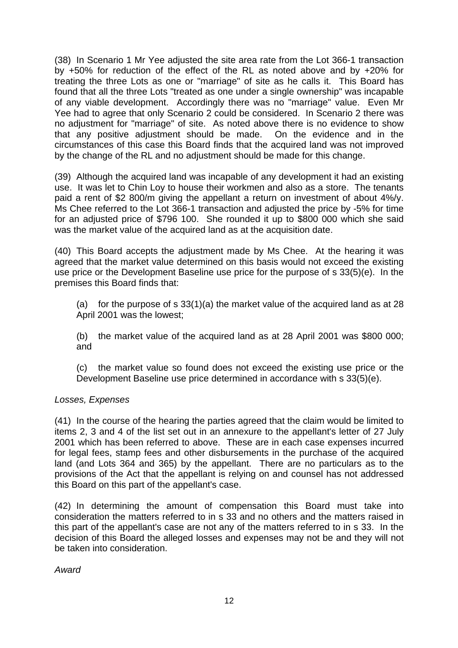(38) In Scenario 1 Mr Yee adjusted the site area rate from the Lot 366-1 transaction by +50% for reduction of the effect of the RL as noted above and by +20% for treating the three Lots as one or "marriage" of site as he calls it. This Board has found that all the three Lots "treated as one under a single ownership" was incapable of any viable development. Accordingly there was no "marriage" value. Even Mr Yee had to agree that only Scenario 2 could be considered. In Scenario 2 there was no adjustment for "marriage" of site. As noted above there is no evidence to show that any positive adjustment should be made. On the evidence and in the circumstances of this case this Board finds that the acquired land was not improved by the change of the RL and no adjustment should be made for this change.

(39) Although the acquired land was incapable of any development it had an existing use. It was let to Chin Loy to house their workmen and also as a store. The tenants paid a rent of \$2 800/m giving the appellant a return on investment of about 4%/y. Ms Chee referred to the Lot 366-1 transaction and adjusted the price by -5% for time for an adjusted price of \$796 100. She rounded it up to \$800 000 which she said was the market value of the acquired land as at the acquisition date.

(40) This Board accepts the adjustment made by Ms Chee. At the hearing it was agreed that the market value determined on this basis would not exceed the existing use price or the Development Baseline use price for the purpose of s 33(5)(e). In the premises this Board finds that:

(a) for the purpose of s  $33(1)(a)$  the market value of the acquired land as at 28 April 2001 was the lowest;

(b) the market value of the acquired land as at 28 April 2001 was \$800 000; and

(c) the market value so found does not exceed the existing use price or the Development Baseline use price determined in accordance with s 33(5)(e).

## *Losses, Expenses*

(41) In the course of the hearing the parties agreed that the claim would be limited to items 2, 3 and 4 of the list set out in an annexure to the appellant's letter of 27 July 2001 which has been referred to above. These are in each case expenses incurred for legal fees, stamp fees and other disbursements in the purchase of the acquired land (and Lots 364 and 365) by the appellant. There are no particulars as to the provisions of the Act that the appellant is relying on and counsel has not addressed this Board on this part of the appellant's case.

(42) In determining the amount of compensation this Board must take into consideration the matters referred to in s 33 and no others and the matters raised in this part of the appellant's case are not any of the matters referred to in s 33. In the decision of this Board the alleged losses and expenses may not be and they will not be taken into consideration.

*Award*